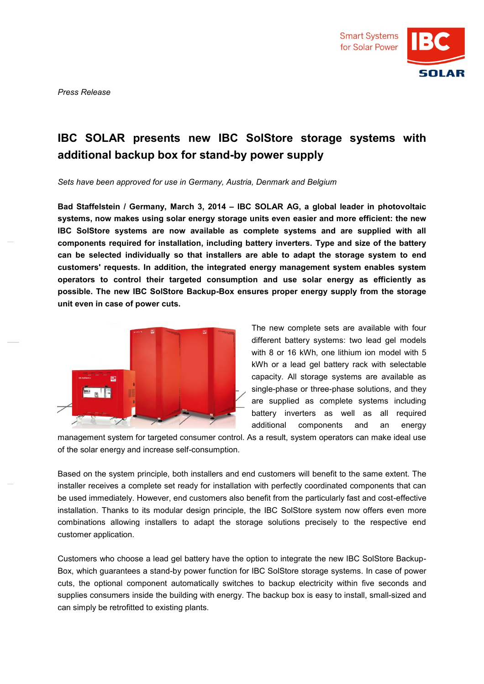

*Press Release*

## **IBC SOLAR presents new IBC SolStore storage systems with additional backup box for stand-by power supply**

*Sets have been approved for use in Germany, Austria, Denmark and Belgium* 

**Bad Staffelstein / Germany, March 3, 2014 – IBC SOLAR AG, a global leader in photovoltaic systems, now makes using solar energy storage units even easier and more efficient: the new IBC SolStore systems are now available as complete systems and are supplied with all components required for installation, including battery inverters. Type and size of the battery can be selected individually so that installers are able to adapt the storage system to end customers' requests. In addition, the integrated energy management system enables system operators to control their targeted consumption and use solar energy as efficiently as possible. The new IBC SolStore Backup-Box ensures proper energy supply from the storage unit even in case of power cuts.**



The new complete sets are available with four different battery systems: two lead gel models with 8 or 16 kWh, one lithium ion model with 5 kWh or a lead gel battery rack with selectable capacity. All storage systems are available as single-phase or three-phase solutions, and they are supplied as complete systems including battery inverters as well as all required additional components and an energy

management system for targeted consumer control. As a result, system operators can make ideal use of the solar energy and increase self-consumption.

Based on the system principle, both installers and end customers will benefit to the same extent. The installer receives a complete set ready for installation with perfectly coordinated components that can be used immediately. However, end customers also benefit from the particularly fast and cost-effective installation. Thanks to its modular design principle, the IBC SolStore system now offers even more combinations allowing installers to adapt the storage solutions precisely to the respective end customer application.

Customers who choose a lead gel battery have the option to integrate the new IBC SolStore Backup-Box, which guarantees a stand-by power function for IBC SolStore storage systems. In case of power cuts, the optional component automatically switches to backup electricity within five seconds and supplies consumers inside the building with energy. The backup box is easy to install, small-sized and can simply be retrofitted to existing plants.